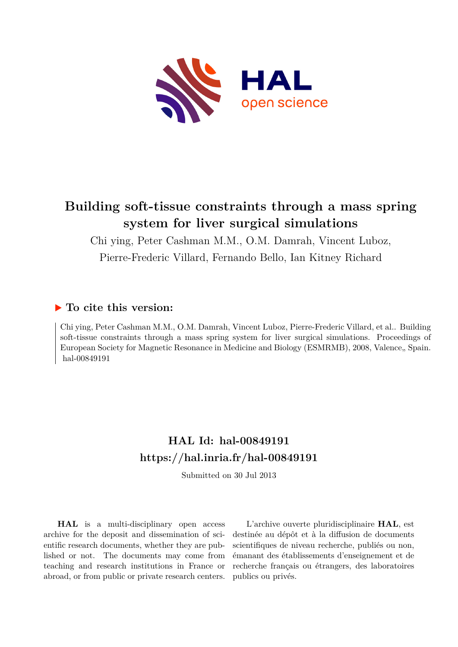

# **Building soft-tissue constraints through a mass spring system for liver surgical simulations**

Chi ying, Peter Cashman M.M., O.M. Damrah, Vincent Luboz, Pierre-Frederic Villard, Fernando Bello, Ian Kitney Richard

## **To cite this version:**

Chi ying, Peter Cashman M.M., O.M. Damrah, Vincent Luboz, Pierre-Frederic Villard, et al.. Building soft-tissue constraints through a mass spring system for liver surgical simulations. Proceedings of European Society for Magnetic Resonance in Medicine and Biology (ESMRMB), 2008, Valence, Spain. hal-00849191

## **HAL Id: hal-00849191 <https://hal.inria.fr/hal-00849191>**

Submitted on 30 Jul 2013

**HAL** is a multi-disciplinary open access archive for the deposit and dissemination of scientific research documents, whether they are published or not. The documents may come from teaching and research institutions in France or abroad, or from public or private research centers.

L'archive ouverte pluridisciplinaire **HAL**, est destinée au dépôt et à la diffusion de documents scientifiques de niveau recherche, publiés ou non, émanant des établissements d'enseignement et de recherche français ou étrangers, des laboratoires publics ou privés.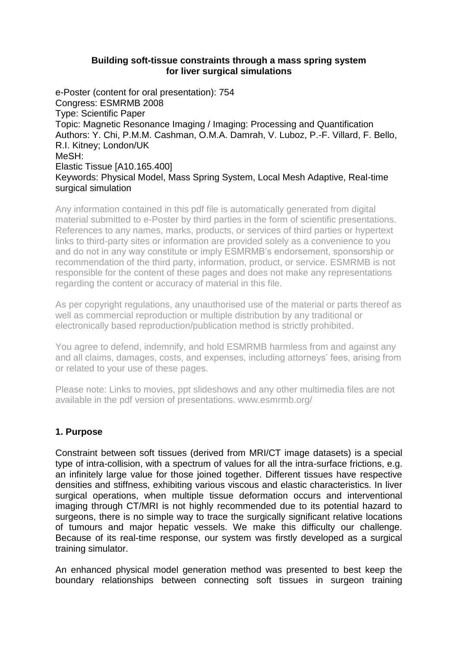#### **Building soft-tissue constraints through a mass spring system for liver surgical simulations**

e-Poster (content for oral presentation): 754 Congress: ESMRMB 2008 Type: Scientific Paper Topic: Magnetic Resonance Imaging / Imaging: Processing and Quantification Authors: Y. Chi, P.M.M. Cashman, O.M.A. Damrah, V. Luboz, P.-F. Villard, F. Bello, R.I. Kitney; London/UK MeSH: Elastic Tissue [A10.165.400] Keywords: Physical Model, Mass Spring System, Local Mesh Adaptive, Real-time surgical simulation

Any information contained in this pdf file is automatically generated from digital material submitted to e-Poster by third parties in the form of scientific presentations. References to any names, marks, products, or services of third parties or hypertext links to third-party sites or information are provided solely as a convenience to you and do not in any way constitute or imply ESMRMB's endorsement, sponsorship or recommendation of the third party, information, product, or service. ESMRMB is not responsible for the content of these pages and does not make any representations regarding the content or accuracy of material in this file.

As per copyright regulations, any unauthorised use of the material or parts thereof as well as commercial reproduction or multiple distribution by any traditional or electronically based reproduction/publication method is strictly prohibited.

You agree to defend, indemnify, and hold ESMRMB harmless from and against any and all claims, damages, costs, and expenses, including attorneys' fees, arising from or related to your use of these pages.

Please note: Links to movies, ppt slideshows and any other multimedia files are not available in the pdf version of presentations. www.esmrmb.org/

## **1. Purpose**

Constraint between soft tissues (derived from MRI/CT image datasets) is a special type of intra-collision, with a spectrum of values for all the intra-surface frictions, e.g. an infinitely large value for those joined together. Different tissues have respective densities and stiffness, exhibiting various viscous and elastic characteristics. In liver surgical operations, when multiple tissue deformation occurs and interventional imaging through CT/MRI is not highly recommended due to its potential hazard to surgeons, there is no simple way to trace the surgically significant relative locations of tumours and major hepatic vessels. We make this difficulty our challenge. Because of its real-time response, our system was firstly developed as a surgical training simulator.

An enhanced physical model generation method was presented to best keep the boundary relationships between connecting soft tissues in surgeon training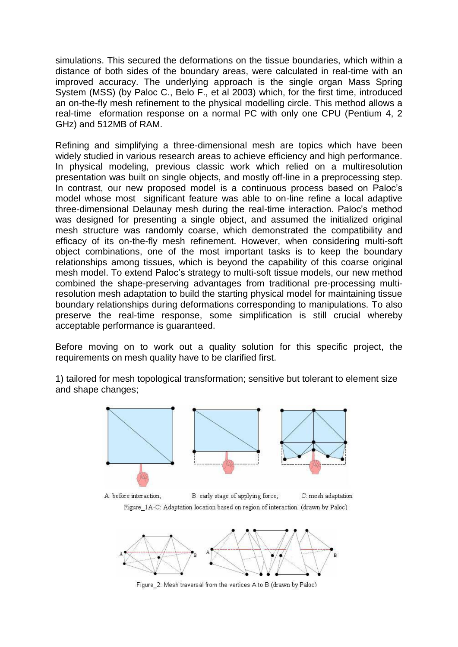simulations. This secured the deformations on the tissue boundaries, which within a distance of both sides of the boundary areas, were calculated in real-time with an improved accuracy. The underlying approach is the single organ Mass Spring System (MSS) (by Paloc C., Belo F., et al 2003) which, for the first time, introduced an on-the-fly mesh refinement to the physical modelling circle. This method allows a real-time eformation response on a normal PC with only one CPU (Pentium 4, 2 GHz) and 512MB of RAM.

Refining and simplifying a three-dimensional mesh are topics which have been widely studied in various research areas to achieve efficiency and high performance. In physical modeling, previous classic work which relied on a multiresolution presentation was built on single objects, and mostly off-line in a preprocessing step. In contrast, our new proposed model is a continuous process based on Paloc's model whose most significant feature was able to on-line refine a local adaptive three-dimensional Delaunay mesh during the real-time interaction. Paloc's method was designed for presenting a single object, and assumed the initialized original mesh structure was randomly coarse, which demonstrated the compatibility and efficacy of its on-the-fly mesh refinement. However, when considering multi-soft object combinations, one of the most important tasks is to keep the boundary relationships among tissues, which is beyond the capability of this coarse original mesh model. To extend Paloc's strategy to multi-soft tissue models, our new method combined the shape-preserving advantages from traditional pre-processing multiresolution mesh adaptation to build the starting physical model for maintaining tissue boundary relationships during deformations corresponding to manipulations. To also preserve the real-time response, some simplification is still crucial whereby acceptable performance is guaranteed.

Before moving on to work out a quality solution for this specific project, the requirements on mesh quality have to be clarified first.

1) tailored for mesh topological transformation; sensitive but tolerant to element size and shape changes;







Figure 2: Mesh traversal from the vertices A to B (drawn by Paloc)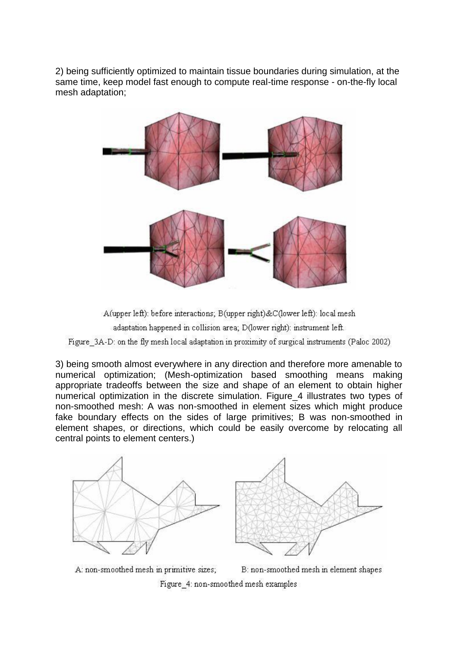2) being sufficiently optimized to maintain tissue boundaries during simulation, at the same time, keep model fast enough to compute real-time response - on-the-fly local mesh adaptation;



A(upper left): before interactions; B(upper right)&C(lower left): local mesh adaptation happened in collision area; D(lower right): instrument left. Figure 3A-D: on the fly mesh local adaptation in proximity of surgical instruments (Paloc 2002)

3) being smooth almost everywhere in any direction and therefore more amenable to numerical optimization; (Mesh-optimization based smoothing means making appropriate tradeoffs between the size and shape of an element to obtain higher numerical optimization in the discrete simulation. Figure\_4 illustrates two types of non-smoothed mesh: A was non-smoothed in element sizes which might produce fake boundary effects on the sides of large primitives; B was non-smoothed in element shapes, or directions, which could be easily overcome by relocating all central points to element centers.)



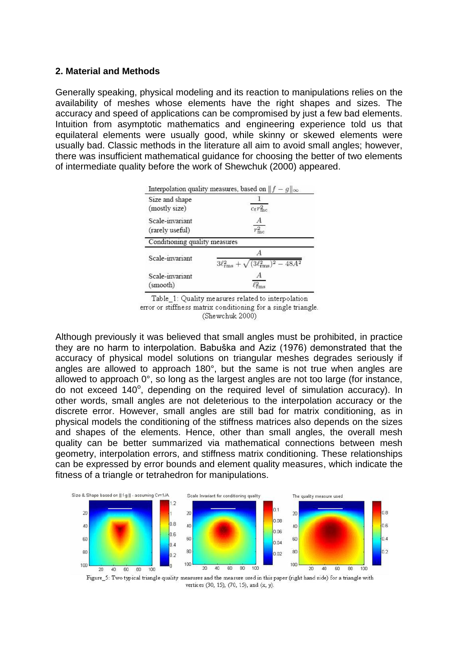#### **2. Material and Methods**

Generally speaking, physical modeling and its reaction to manipulations relies on the availability of meshes whose elements have the right shapes and sizes. The accuracy and speed of applications can be compromised by just a few bad elements. Intuition from asymptotic mathematics and engineering experience told us that equilateral elements were usually good, while skinny or skewed elements were usually bad. Classic methods in the literature all aim to avoid small angles; however, there was insufficient mathematical guidance for choosing the better of two elements of intermediate quality before the work of Shewchuk (2000) appeared.

|                                    | Interpolation quality measures, based on $  f - g  _{\infty}$ |
|------------------------------------|---------------------------------------------------------------|
| Size and shape<br>(mostly size)    | $c_t r_{\text{inc}}^2$                                        |
| Scale-invariant<br>(rarely useful) | А<br>mc                                                       |
| Conditioning quality measures      |                                                               |
| Scale-invariant                    | $3\ell_{\rm rms}^2 + \sqrt{(3\ell_{\rm rms}^2)^2}$            |
| Scale-invariant<br>(smooth)        |                                                               |

Table\_1: Quality measures related to interpolation error or stiffness matrix conditioning for a single triangle. (Shewchuk 2000)

Although previously it was believed that small angles must be prohibited, in practice they are no harm to interpolation. Babuška and Aziz (1976) demonstrated that the accuracy of physical model solutions on triangular meshes degrades seriously if angles are allowed to approach 180°, but the same is not true when angles are allowed to approach 0°, so long as the largest angles are not too large (for instance, do not exceed 140°, depending on the required level of simulation accuracy). In other words, small angles are not deleterious to the interpolation accuracy or the discrete error. However, small angles are still bad for matrix conditioning, as in physical models the conditioning of the stiffness matrices also depends on the sizes and shapes of the elements. Hence, other than small angles, the overall mesh quality can be better summarized via mathematical connections between mesh geometry, interpolation errors, and stiffness matrix conditioning. These relationships can be expressed by error bounds and element quality measures, which indicate the fitness of a triangle or tetrahedron for manipulations.



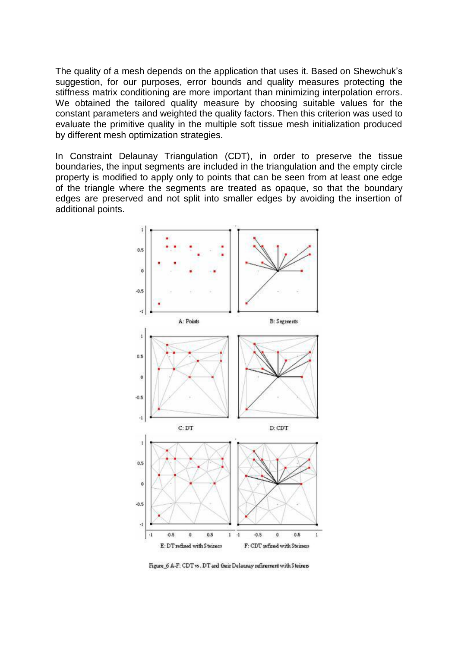The quality of a mesh depends on the application that uses it. Based on Shewchuk's suggestion, for our purposes, error bounds and quality measures protecting the stiffness matrix conditioning are more important than minimizing interpolation errors. We obtained the tailored quality measure by choosing suitable values for the constant parameters and weighted the quality factors. Then this criterion was used to evaluate the primitive quality in the multiple soft tissue mesh initialization produced by different mesh optimization strategies.

In Constraint Delaunay Triangulation (CDT), in order to preserve the tissue boundaries, the input segments are included in the triangulation and the empty circle property is modified to apply only to points that can be seen from at least one edge of the triangle where the segments are treated as opaque, so that the boundary edges are preserved and not split into smaller edges by avoiding the insertion of additional points.



Figure 6 A-F: CDT vs. DT and their Delaunay refinement with Steiners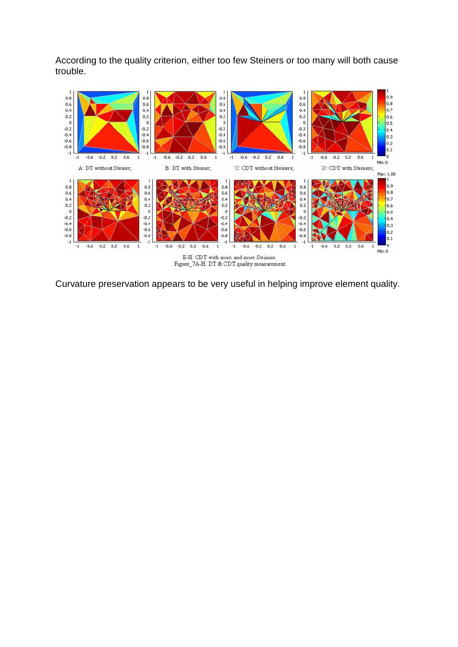According to the quality criterion, either too few Steiners or too many will both cause trouble.



Curvature preservation appears to be very useful in helping improve element quality.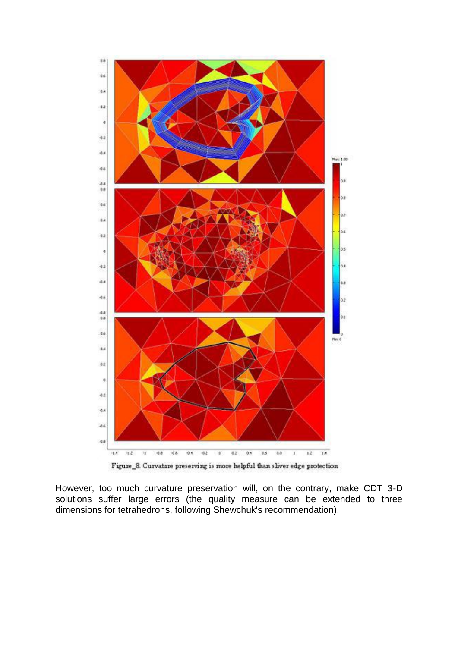

Figure\_8. Curvature preserving is more helpful than sliver edge protection

However, too much curvature preservation will, on the contrary, make CDT 3-D solutions suffer large errors (the quality measure can be extended to three dimensions for tetrahedrons, following Shewchuk's recommendation).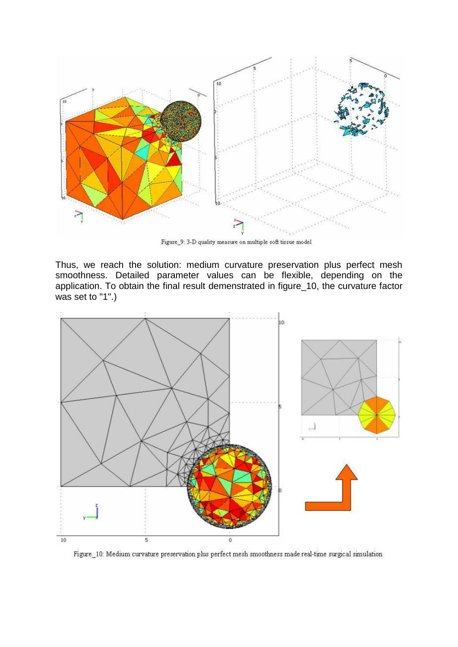

Figure\_9: 3-D quality measure on multiple soft tissue model

Thus, we reach the solution: medium curvature preservation plus perfect mesh smoothness. Detailed parameter values can be flexible, depending on the application. To obtain the final result demenstrated in figure\_10, the curvature factor was set to "1".)



Figure 10: Medium curvature preservation plus perfect mesh smoothness made real-time surgical simulation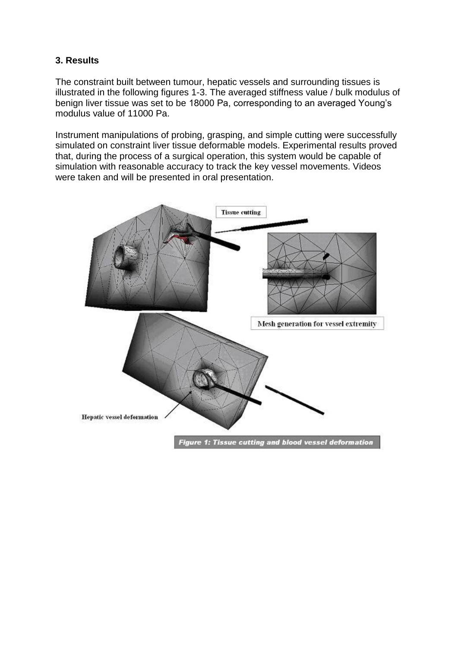## **3. Results**

The constraint built between tumour, hepatic vessels and surrounding tissues is illustrated in the following figures 1-3. The averaged stiffness value / bulk modulus of benign liver tissue was set to be 18000 Pa, corresponding to an averaged Young's modulus value of 11000 Pa.

Instrument manipulations of probing, grasping, and simple cutting were successfully simulated on constraint liver tissue deformable models. Experimental results proved that, during the process of a surgical operation, this system would be capable of simulation with reasonable accuracy to track the key vessel movements. Videos were taken and will be presented in oral presentation.

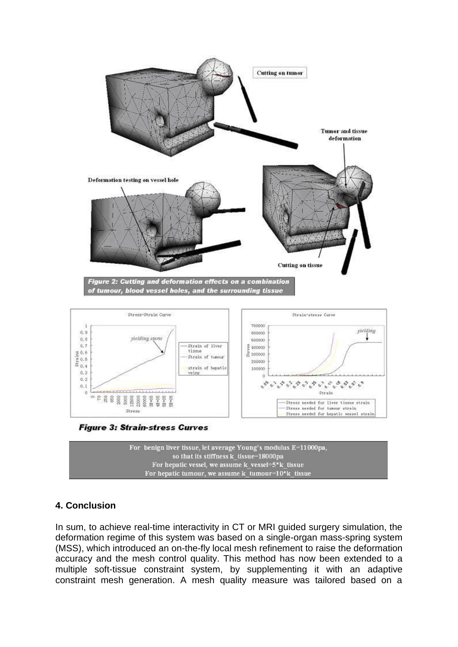



## **4. Conclusion**

In sum, to achieve real-time interactivity in CT or MRI guided surgery simulation, the deformation regime of this system was based on a single-organ mass-spring system (MSS), which introduced an on-the-fly local mesh refinement to raise the deformation accuracy and the mesh control quality. This method has now been extended to a multiple soft-tissue constraint system, by supplementing it with an adaptive constraint mesh generation. A mesh quality measure was tailored based on a